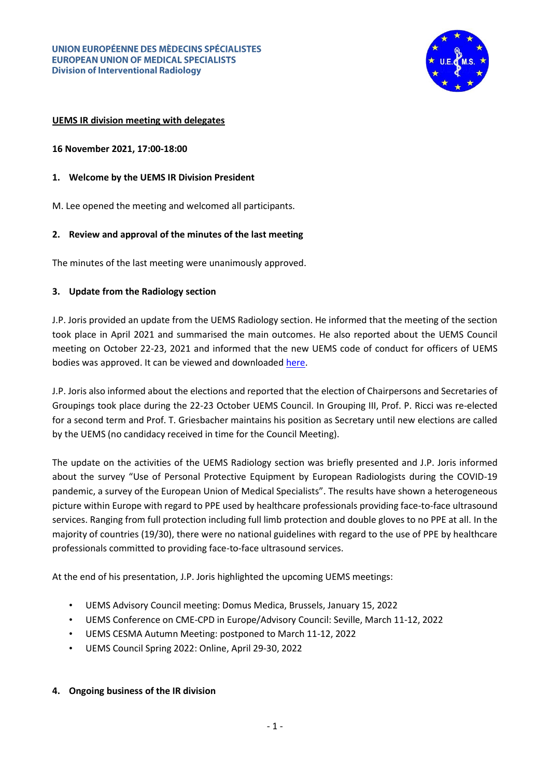

### **UEMS IR division meeting with delegates**

**16 November 2021, 17:00-18:00**

- **1. Welcome by the UEMS IR Division President**
- M. Lee opened the meeting and welcomed all participants.

### **2. Review and approval of the minutes of the last meeting**

The minutes of the last meeting were unanimously approved.

### **3. Update from the Radiology section**

J.P. Joris provided an update from the UEMS Radiology section. He informed that the meeting of the section took place in April 2021 and summarised the main outcomes. He also reported about the UEMS Council meeting on October 22-23, 2021 and informed that the new UEMS code of conduct for officers of UEMS bodies was approved. It can be viewed and downloaded [here.](https://www.uems.eu/__data/assets/pdf_file/0004/147280/UEMS-Code-of-Conduct-for-Officers-of-UEMS-bodies-2021.pdf)

J.P. Joris also informed about the elections and reported that the election of Chairpersons and Secretaries of Groupings took place during the 22-23 October UEMS Council. In Grouping III, Prof. P. Ricci was re-elected for a second term and Prof. T. Griesbacher maintains his position as Secretary until new elections are called by the UEMS (no candidacy received in time for the Council Meeting).

The update on the activities of the UEMS Radiology section was briefly presented and J.P. Joris informed about the survey "Use of Personal Protective Equipment by European Radiologists during the COVID-19 pandemic, a survey of the European Union of Medical Specialists". The results have shown a heterogeneous picture within Europe with regard to PPE used by healthcare professionals providing face-to-face ultrasound services. Ranging from full protection including full limb protection and double gloves to no PPE at all. In the majority of countries (19/30), there were no national guidelines with regard to the use of PPE by healthcare professionals committed to providing face-to-face ultrasound services.

At the end of his presentation, J.P. Joris highlighted the upcoming UEMS meetings:

- UEMS Advisory Council meeting: Domus Medica, Brussels, January 15, 2022
- UEMS Conference on CME-CPD in Europe/Advisory Council: Seville, March 11-12, 2022
- UEMS CESMA Autumn Meeting: postponed to March 11-12, 2022
- UEMS Council Spring 2022: Online, April 29-30, 2022

#### **4. Ongoing business of the IR division**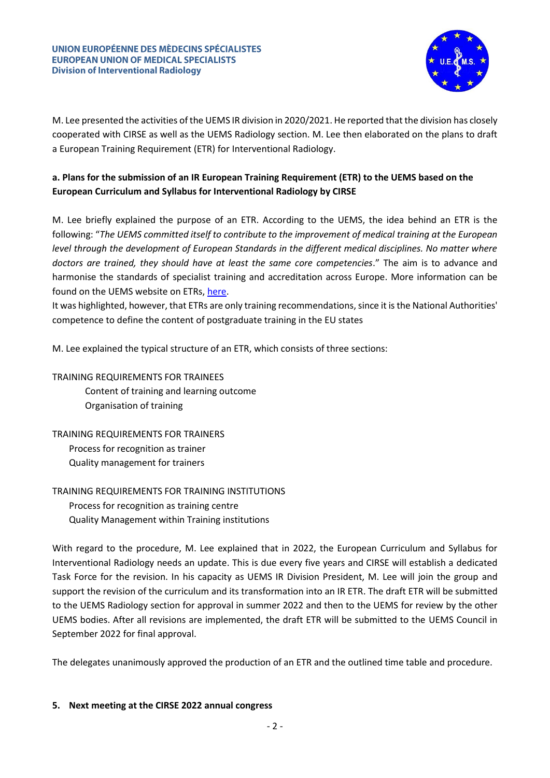

M. Lee presented the activities of the UEMS IR division in 2020/2021. He reported that the division has closely cooperated with CIRSE as well as the UEMS Radiology section. M. Lee then elaborated on the plans to draft a European Training Requirement (ETR) for Interventional Radiology.

# **a. Plans for the submission of an IR European Training Requirement (ETR) to the UEMS based on the European Curriculum and Syllabus for Interventional Radiology by CIRSE**

M. Lee briefly explained the purpose of an ETR. According to the UEMS, the idea behind an ETR is the following: "*The UEMS committed itself to contribute to the improvement of medical training at the European level through the development of European Standards in the different medical disciplines. No matter where doctors are trained, they should have at least the same core competencies*." The aim is to advance and harmonise the standards of specialist training and accreditation across Europe. More information can be found on the UEMS website on ETRs[, here.](https://www.uems.eu/areas-of-expertise/postgraduate-training/european-standards-in-medical-training)

It was highlighted, however, that ETRs are only training recommendations, since it is the National Authorities' competence to define the content of postgraduate training in the EU states

M. Lee explained the typical structure of an ETR, which consists of three sections:

TRAINING REQUIREMENTS FOR TRAINEES Content of training and learning outcome Organisation of training

# TRAINING REQUIREMENTS FOR TRAINERS

Process for recognition as trainer Quality management for trainers

# TRAINING REQUIREMENTS FOR TRAINING INSTITUTIONS

Process for recognition as training centre Quality Management within Training institutions

With regard to the procedure, M. Lee explained that in 2022, the European Curriculum and Syllabus for Interventional Radiology needs an update. This is due every five years and CIRSE will establish a dedicated Task Force for the revision. In his capacity as UEMS IR Division President, M. Lee will join the group and support the revision of the curriculum and its transformation into an IR ETR. The draft ETR will be submitted to the UEMS Radiology section for approval in summer 2022 and then to the UEMS for review by the other UEMS bodies. After all revisions are implemented, the draft ETR will be submitted to the UEMS Council in September 2022 for final approval.

The delegates unanimously approved the production of an ETR and the outlined time table and procedure.

## **5. Next meeting at the CIRSE 2022 annual congress**